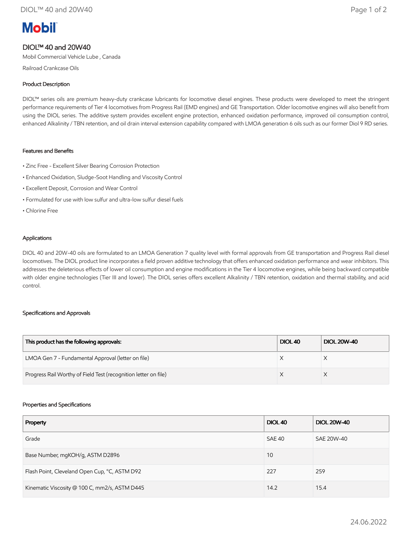# **Mobil**

## DIOL™ 40 and 20W40

Mobil Commercial Vehicle Lube , Canada

Railroad Crankcase Oils

### Product Description

DIOL™ series oils are premium heavy-duty crankcase lubricants for locomotive diesel engines. These products were developed to meet the stringent performance requirements of Tier 4 locomotives from Progress Rail (EMD engines) and GE Transportation. Older locomotive engines will also benefit from using the DIOL series. The additive system provides excellent engine protection, enhanced oxidation performance, improved oil consumption control, enhanced Alkalinity / TBN retention, and oil drain interval extension capability compared with LMOA generation 6 oils such as our former Diol 9 RD series.

#### Features and Benefits

- Zinc Free Excellent Silver Bearing Corrosion Protection
- Enhanced Oxidation, Sludge-Soot Handling and Viscosity Control
- Excellent Deposit, Corrosion and Wear Control
- Formulated for use with low sulfur and ultra-low sulfur diesel fuels
- Chlorine Free

#### Applications

DIOL 40 and 20W-40 oils are formulated to an LMOA Generation 7 quality level with formal approvals from GE transportation and Progress Rail diesel locomotives. The DIOL product line incorporates a field proven additive technology that offers enhanced oxidation performance and wear inhibitors. This addresses the deleterious effects of lower oil consumption and engine modifications in the Tier 4 locomotive engines, while being backward compatible with older engine technologies (Tier III and lower). The DIOL series offers excellent Alkalinity / TBN retention, oxidation and thermal stability, and acid control.

#### Specifications and Approvals

| This product has the following approvals:                       | DIOL <sub>40</sub> | <b>DIOL 20W-40</b> |
|-----------------------------------------------------------------|--------------------|--------------------|
| LMOA Gen 7 - Fundamental Approval (letter on file)              |                    |                    |
| Progress Rail Worthy of Field Test (recognition letter on file) |                    |                    |

#### Properties and Specifications

| Property                                      | <b>DIOL 40</b> | <b>DIOL 20W-40</b> |
|-----------------------------------------------|----------------|--------------------|
| Grade                                         | SAE 40         | SAE 20W-40         |
| Base Number, mgKOH/g, ASTM D2896              | 10             |                    |
| Flash Point, Cleveland Open Cup, °C, ASTM D92 | 227            | 259                |
| Kinematic Viscosity @ 100 C, mm2/s, ASTM D445 | 14.2           | 15.4               |